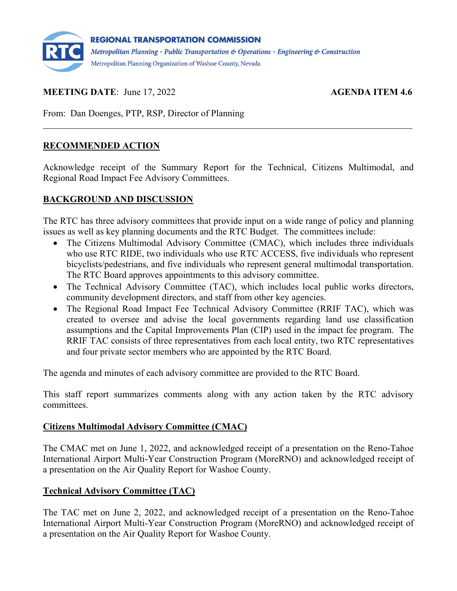

## **MEETING DATE:** June 17, 2022 **AGENDA ITEM 4.6**

From: Dan Doenges, PTP, RSP, Director of Planning

### **RECOMMENDED ACTION**

Acknowledge receipt of the Summary Report for the Technical, Citizens Multimodal, and Regional Road Impact Fee Advisory Committees.

#### **BACKGROUND AND DISCUSSION**

The RTC has three advisory committees that provide input on a wide range of policy and planning issues as well as key planning documents and the RTC Budget. The committees include:

- The Citizens Multimodal Advisory Committee (CMAC), which includes three individuals who use RTC RIDE, two individuals who use RTC ACCESS, five individuals who represent bicyclists/pedestrians, and five individuals who represent general multimodal transportation. The RTC Board approves appointments to this advisory committee.
- The Technical Advisory Committee (TAC), which includes local public works directors, community development directors, and staff from other key agencies.
- The Regional Road Impact Fee Technical Advisory Committee (RRIF TAC), which was created to oversee and advise the local governments regarding land use classification assumptions and the Capital Improvements Plan (CIP) used in the impact fee program. The RRIF TAC consists of three representatives from each local entity, two RTC representatives and four private sector members who are appointed by the RTC Board.

The agenda and minutes of each advisory committee are provided to the RTC Board.

This staff report summarizes comments along with any action taken by the RTC advisory committees.

#### **Citizens Multimodal Advisory Committee (CMAC)**

The CMAC met on June 1, 2022, and acknowledged receipt of a presentation on the Reno-Tahoe International Airport Multi-Year Construction Program (MoreRNO) and acknowledged receipt of a presentation on the Air Quality Report for Washoe County.

## **Technical Advisory Committee (TAC)**

The TAC met on June 2, 2022, and acknowledged receipt of a presentation on the Reno-Tahoe International Airport Multi-Year Construction Program (MoreRNO) and acknowledged receipt of a presentation on the Air Quality Report for Washoe County.